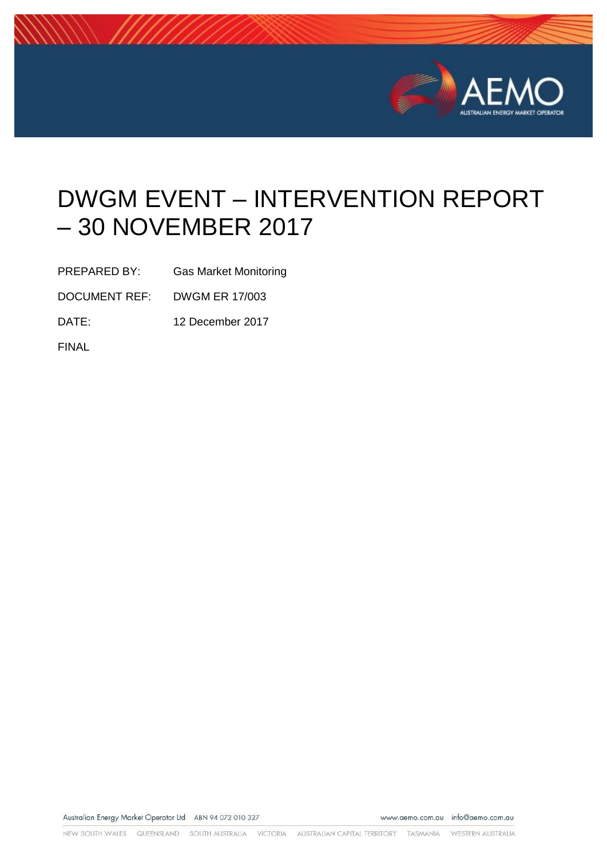

# DWGM EVENT – INTERVENTION REPORT – 30 NOVEMBER 2017

PREPARED BY: Gas Market Monitoring

DOCUMENT REF: DWGM ER 17/003

DATE: 12 December 2017

FINAL

Australian Energy Market Operator Ltd ABN 94 072 010 327

www.aemo.com.au info@aemo.com.au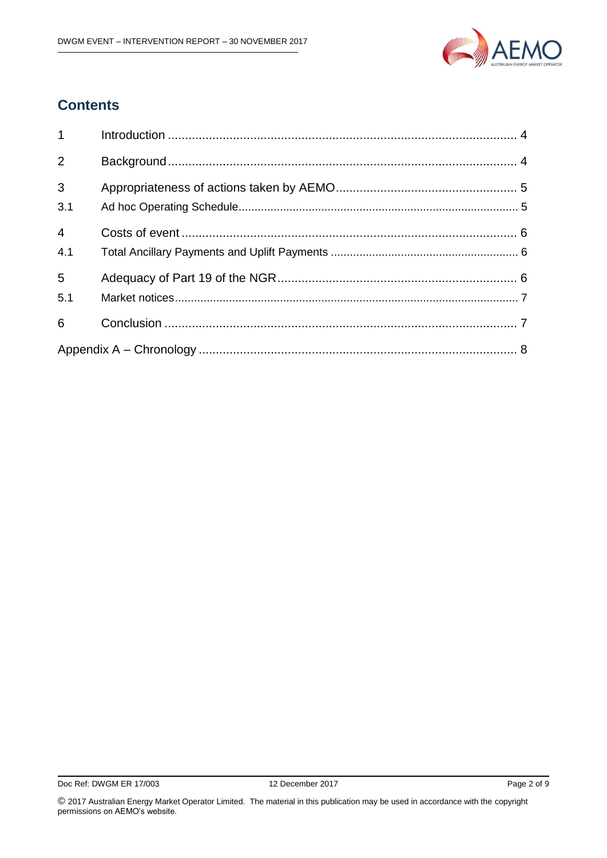

### **Contents**

| $1 \quad \blacksquare$ |  |
|------------------------|--|
| $\overline{2}$         |  |
| $\overline{3}$<br>3.1  |  |
| $\overline{4}$<br>4.1  |  |
| $5\overline{)}$<br>5.1 |  |
| 6                      |  |
|                        |  |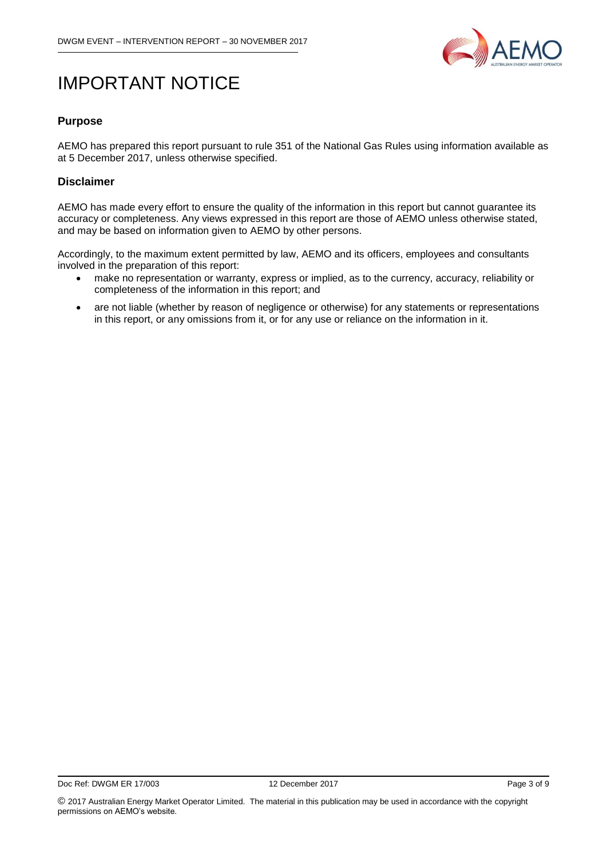

## IMPORTANT NOTICE

#### **Purpose**

AEMO has prepared this report pursuant to rule 351 of the National Gas Rules using information available as at 5 December 2017, unless otherwise specified.

#### **Disclaimer**

AEMO has made every effort to ensure the quality of the information in this report but cannot guarantee its accuracy or completeness. Any views expressed in this report are those of AEMO unless otherwise stated, and may be based on information given to AEMO by other persons.

Accordingly, to the maximum extent permitted by law, AEMO and its officers, employees and consultants involved in the preparation of this report:

- make no representation or warranty, express or implied, as to the currency, accuracy, reliability or completeness of the information in this report; and
- are not liable (whether by reason of negligence or otherwise) for any statements or representations in this report, or any omissions from it, or for any use or reliance on the information in it.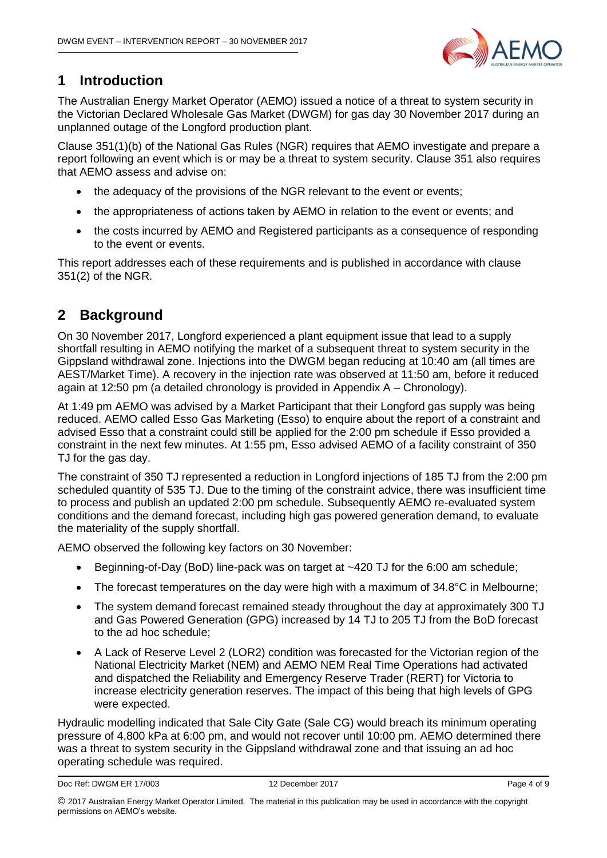

### <span id="page-3-0"></span>**1 Introduction**

The Australian Energy Market Operator (AEMO) issued a notice of a threat to system security in the Victorian Declared Wholesale Gas Market (DWGM) for gas day 30 November 2017 during an unplanned outage of the Longford production plant.

Clause 351(1)(b) of the National Gas Rules (NGR) requires that AEMO investigate and prepare a report following an event which is or may be a threat to system security. Clause 351 also requires that AEMO assess and advise on:

- the adequacy of the provisions of the NGR relevant to the event or events;
- the appropriateness of actions taken by AEMO in relation to the event or events; and
- the costs incurred by AEMO and Registered participants as a consequence of responding to the event or events.

This report addresses each of these requirements and is published in accordance with clause 351(2) of the NGR.

#### <span id="page-3-1"></span>**2 Background**

On 30 November 2017, Longford experienced a plant equipment issue that lead to a supply shortfall resulting in AEMO notifying the market of a subsequent threat to system security in the Gippsland withdrawal zone. Injections into the DWGM began reducing at 10:40 am (all times are AEST/Market Time). A recovery in the injection rate was observed at 11:50 am, before it reduced again at 12:50 pm (a detailed chronology is provided in [Appendix A –](#page-7-0) Chronology).

At 1:49 pm AEMO was advised by a Market Participant that their Longford gas supply was being reduced. AEMO called Esso Gas Marketing (Esso) to enquire about the report of a constraint and advised Esso that a constraint could still be applied for the 2:00 pm schedule if Esso provided a constraint in the next few minutes. At 1:55 pm, Esso advised AEMO of a facility constraint of 350 TJ for the gas day.

The constraint of 350 TJ represented a reduction in Longford injections of 185 TJ from the 2:00 pm scheduled quantity of 535 TJ. Due to the timing of the constraint advice, there was insufficient time to process and publish an updated 2:00 pm schedule. Subsequently AEMO re-evaluated system conditions and the demand forecast, including high gas powered generation demand, to evaluate the materiality of the supply shortfall.

AEMO observed the following key factors on 30 November:

- Beginning-of-Day (BoD) line-pack was on target at ~420 TJ for the 6:00 am schedule;
- The forecast temperatures on the day were high with a maximum of 34.8°C in Melbourne;
- The system demand forecast remained steady throughout the day at approximately 300 TJ and Gas Powered Generation (GPG) increased by 14 TJ to 205 TJ from the BoD forecast to the ad hoc schedule;
- A Lack of Reserve Level 2 (LOR2) condition was forecasted for the Victorian region of the National Electricity Market (NEM) and AEMO NEM Real Time Operations had activated and dispatched the Reliability and Emergency Reserve Trader (RERT) for Victoria to increase electricity generation reserves. The impact of this being that high levels of GPG were expected.

Hydraulic modelling indicated that Sale City Gate (Sale CG) would breach its minimum operating pressure of 4,800 kPa at 6:00 pm, and would not recover until 10:00 pm. AEMO determined there was a threat to system security in the Gippsland withdrawal zone and that issuing an ad hoc operating schedule was required.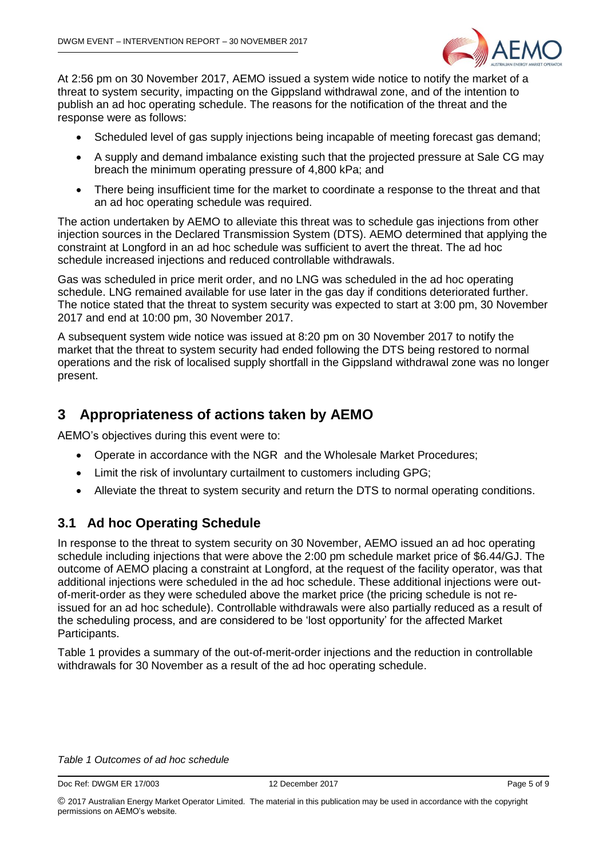

At 2:56 pm on 30 November 2017, AEMO issued a system wide notice to notify the market of a threat to system security, impacting on the Gippsland withdrawal zone, and of the intention to publish an ad hoc operating schedule. The reasons for the notification of the threat and the response were as follows:

- Scheduled level of gas supply injections being incapable of meeting forecast gas demand;
- A supply and demand imbalance existing such that the projected pressure at Sale CG may breach the minimum operating pressure of 4,800 kPa; and
- There being insufficient time for the market to coordinate a response to the threat and that an ad hoc operating schedule was required.

The action undertaken by AEMO to alleviate this threat was to schedule gas injections from other injection sources in the Declared Transmission System (DTS). AEMO determined that applying the constraint at Longford in an ad hoc schedule was sufficient to avert the threat. The ad hoc schedule increased injections and reduced controllable withdrawals.

Gas was scheduled in price merit order, and no LNG was scheduled in the ad hoc operating schedule. LNG remained available for use later in the gas day if conditions deteriorated further. The notice stated that the threat to system security was expected to start at 3:00 pm, 30 November 2017 and end at 10:00 pm, 30 November 2017.

A subsequent system wide notice was issued at 8:20 pm on 30 November 2017 to notify the market that the threat to system security had ended following the DTS being restored to normal operations and the risk of localised supply shortfall in the Gippsland withdrawal zone was no longer present.

#### <span id="page-4-0"></span>**3 Appropriateness of actions taken by AEMO**

AEMO's objectives during this event were to:

- Operate in accordance with the NGR and the Wholesale Market Procedures;
- Limit the risk of involuntary curtailment to customers including GPG;
- Alleviate the threat to system security and return the DTS to normal operating conditions.

#### <span id="page-4-1"></span>**3.1 Ad hoc Operating Schedule**

In response to the threat to system security on 30 November, AEMO issued an ad hoc operating schedule including injections that were above the 2:00 pm schedule market price of \$6.44/GJ. The outcome of AEMO placing a constraint at Longford, at the request of the facility operator, was that additional injections were scheduled in the ad hoc schedule. These additional injections were outof-merit-order as they were scheduled above the market price (the pricing schedule is not reissued for an ad hoc schedule). Controllable withdrawals were also partially reduced as a result of the scheduling process, and are considered to be 'lost opportunity' for the affected Market Participants.

[Table 1](#page-4-2) provides a summary of the out-of-merit-order injections and the reduction in controllable withdrawals for 30 November as a result of the ad hoc operating schedule.

#### <span id="page-4-2"></span>*Table 1 Outcomes of ad hoc schedule*

Doc Ref: DWGM ER 17/003 12 December 2017 12 December 2017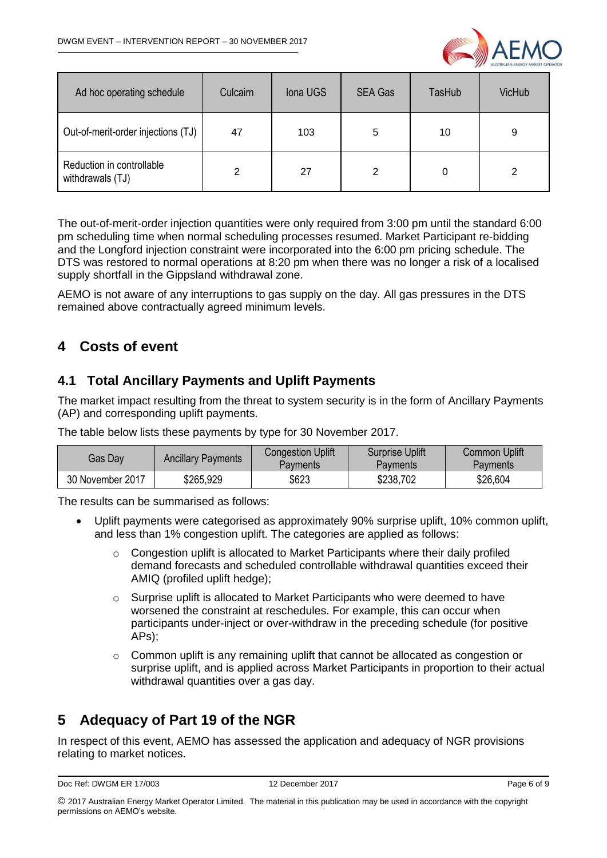

| Ad hoc operating schedule                     | Culcairn | Iona UGS | <b>SEA Gas</b> | TasHub | <b>VicHub</b> |
|-----------------------------------------------|----------|----------|----------------|--------|---------------|
| Out-of-merit-order injections (TJ)            | 47       | 103      | 5              | 10     | 9             |
| Reduction in controllable<br>withdrawals (TJ) | 2        | 27       | 2              |        |               |

The out-of-merit-order injection quantities were only required from 3:00 pm until the standard 6:00 pm scheduling time when normal scheduling processes resumed. Market Participant re-bidding and the Longford injection constraint were incorporated into the 6:00 pm pricing schedule. The DTS was restored to normal operations at 8:20 pm when there was no longer a risk of a localised supply shortfall in the Gippsland withdrawal zone.

AEMO is not aware of any interruptions to gas supply on the day. All gas pressures in the DTS remained above contractually agreed minimum levels.

### <span id="page-5-0"></span>**4 Costs of event**

#### <span id="page-5-1"></span>**4.1 Total Ancillary Payments and Uplift Payments**

The market impact resulting from the threat to system security is in the form of Ancillary Payments (AP) and corresponding uplift payments.

The table below lists these payments by type for 30 November 2017.

| Gas Day          | <b>Ancillary Payments</b> | <b>Congestion Uplift</b><br>Pavments | <b>Surprise Uplift</b><br><b>Payments</b> | <b>Common Uplift</b><br>Payments |
|------------------|---------------------------|--------------------------------------|-------------------------------------------|----------------------------------|
| 30 November 2017 | \$265,929                 | \$623                                | \$238,702                                 | \$26,604                         |

The results can be summarised as follows:

- Uplift payments were categorised as approximately 90% surprise uplift, 10% common uplift, and less than 1% congestion uplift. The categories are applied as follows:
	- o Congestion uplift is allocated to Market Participants where their daily profiled demand forecasts and scheduled controllable withdrawal quantities exceed their AMIQ (profiled uplift hedge);
	- o Surprise uplift is allocated to Market Participants who were deemed to have worsened the constraint at reschedules. For example, this can occur when participants under-inject or over-withdraw in the preceding schedule (for positive APs);
	- o Common uplift is any remaining uplift that cannot be allocated as congestion or surprise uplift, and is applied across Market Participants in proportion to their actual withdrawal quantities over a gas day.

## <span id="page-5-2"></span>**5 Adequacy of Part 19 of the NGR**

In respect of this event, AEMO has assessed the application and adequacy of NGR provisions relating to market notices.

```
Doc Ref: DWGM ER 17/003 12 December 2017 12 December 2017
```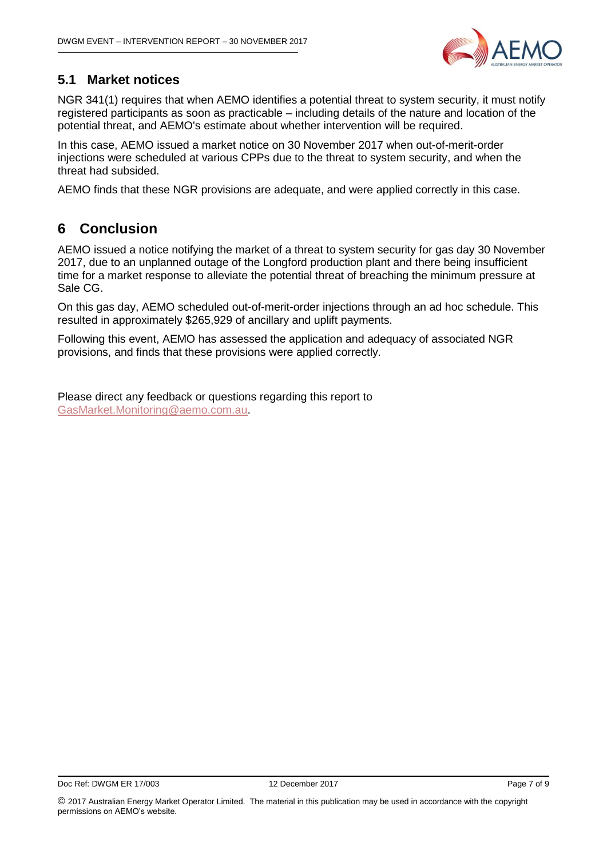

#### <span id="page-6-0"></span>**5.1 Market notices**

NGR 341(1) requires that when AEMO identifies a potential threat to system security, it must notify registered participants as soon as practicable – including details of the nature and location of the potential threat, and AEMO's estimate about whether intervention will be required.

In this case, AEMO issued a market notice on 30 November 2017 when out-of-merit-order injections were scheduled at various CPPs due to the threat to system security, and when the threat had subsided.

AEMO finds that these NGR provisions are adequate, and were applied correctly in this case.

#### <span id="page-6-1"></span>**6 Conclusion**

AEMO issued a notice notifying the market of a threat to system security for gas day 30 November 2017, due to an unplanned outage of the Longford production plant and there being insufficient time for a market response to alleviate the potential threat of breaching the minimum pressure at Sale CG.

On this gas day, AEMO scheduled out-of-merit-order injections through an ad hoc schedule. This resulted in approximately \$265,929 of ancillary and uplift payments.

Following this event, AEMO has assessed the application and adequacy of associated NGR provisions, and finds that these provisions were applied correctly.

Please direct any feedback or questions regarding this report to [GasMarket.Monitoring@aemo.com.au.](mailto:GasMarket.Monitoring@aemo.com.au)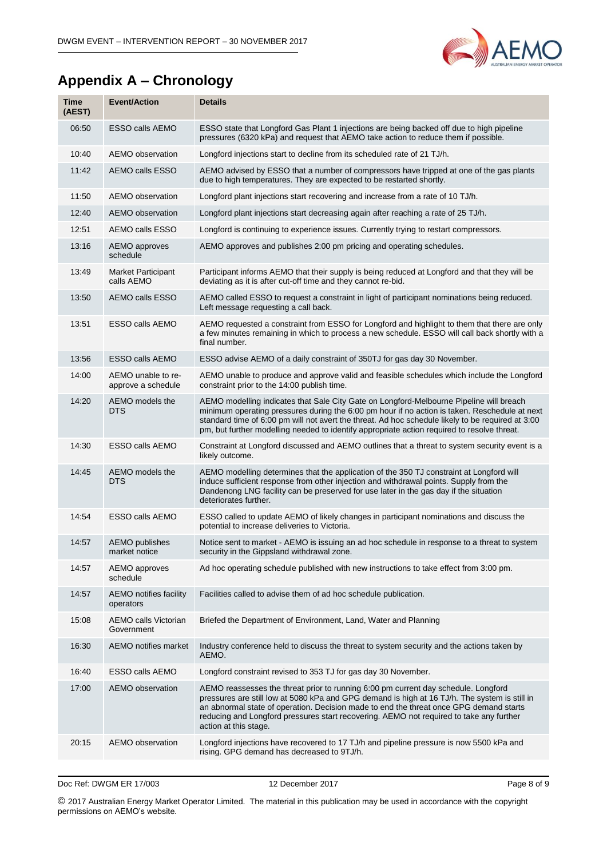

## <span id="page-7-0"></span>**Appendix A – Chronology**

| <b>Time</b><br>(AEST) | <b>Event/Action</b>                       | <b>Details</b>                                                                                                                                                                                                                                                                                                                                                                                    |
|-----------------------|-------------------------------------------|---------------------------------------------------------------------------------------------------------------------------------------------------------------------------------------------------------------------------------------------------------------------------------------------------------------------------------------------------------------------------------------------------|
| 06:50                 | <b>ESSO calls AEMO</b>                    | ESSO state that Longford Gas Plant 1 injections are being backed off due to high pipeline<br>pressures (6320 kPa) and request that AEMO take action to reduce them if possible.                                                                                                                                                                                                                   |
| 10:40                 | AEMO observation                          | Longford injections start to decline from its scheduled rate of 21 TJ/h.                                                                                                                                                                                                                                                                                                                          |
| 11:42                 | <b>AEMO calls ESSO</b>                    | AEMO advised by ESSO that a number of compressors have tripped at one of the gas plants<br>due to high temperatures. They are expected to be restarted shortly.                                                                                                                                                                                                                                   |
| 11:50                 | AEMO observation                          | Longford plant injections start recovering and increase from a rate of 10 TJ/h.                                                                                                                                                                                                                                                                                                                   |
| 12:40                 | AEMO observation                          | Longford plant injections start decreasing again after reaching a rate of 25 TJ/h.                                                                                                                                                                                                                                                                                                                |
| 12:51                 | AEMO calls ESSO                           | Longford is continuing to experience issues. Currently trying to restart compressors.                                                                                                                                                                                                                                                                                                             |
| 13:16                 | AEMO approves<br>schedule                 | AEMO approves and publishes 2:00 pm pricing and operating schedules.                                                                                                                                                                                                                                                                                                                              |
| 13:49                 | Market Participant<br>calls AEMO          | Participant informs AEMO that their supply is being reduced at Longford and that they will be<br>deviating as it is after cut-off time and they cannot re-bid.                                                                                                                                                                                                                                    |
| 13:50                 | AEMO calls ESSO                           | AEMO called ESSO to request a constraint in light of participant nominations being reduced.<br>Left message requesting a call back.                                                                                                                                                                                                                                                               |
| 13:51                 | ESSO calls AEMO                           | AEMO requested a constraint from ESSO for Longford and highlight to them that there are only<br>a few minutes remaining in which to process a new schedule. ESSO will call back shortly with a<br>final number.                                                                                                                                                                                   |
| 13:56                 | <b>ESSO calls AEMO</b>                    | ESSO advise AEMO of a daily constraint of 350TJ for gas day 30 November.                                                                                                                                                                                                                                                                                                                          |
| 14:00                 | AEMO unable to re-<br>approve a schedule  | AEMO unable to produce and approve valid and feasible schedules which include the Longford<br>constraint prior to the 14:00 publish time.                                                                                                                                                                                                                                                         |
| 14:20                 | AEMO models the<br>DTS                    | AEMO modelling indicates that Sale City Gate on Longford-Melbourne Pipeline will breach<br>minimum operating pressures during the 6:00 pm hour if no action is taken. Reschedule at next<br>standard time of 6:00 pm will not avert the threat. Ad hoc schedule likely to be required at 3:00<br>pm, but further modelling needed to identify appropriate action required to resolve threat.      |
| 14:30                 | <b>ESSO calls AEMO</b>                    | Constraint at Longford discussed and AEMO outlines that a threat to system security event is a<br>likely outcome.                                                                                                                                                                                                                                                                                 |
| 14:45                 | AEMO models the<br>DTS                    | AEMO modelling determines that the application of the 350 TJ constraint at Longford will<br>induce sufficient response from other injection and withdrawal points. Supply from the<br>Dandenong LNG facility can be preserved for use later in the gas day if the situation<br>deteriorates further.                                                                                              |
| 14:54                 | <b>ESSO calls AEMO</b>                    | ESSO called to update AEMO of likely changes in participant nominations and discuss the<br>potential to increase deliveries to Victoria.                                                                                                                                                                                                                                                          |
| 14:57                 | <b>AEMO</b> publishes<br>market notice    | Notice sent to market - AEMO is issuing an ad hoc schedule in response to a threat to system<br>security in the Gippsland withdrawal zone.                                                                                                                                                                                                                                                        |
| 14:57                 | AEMO approves<br>schedule                 | Ad hoc operating schedule published with new instructions to take effect from 3:00 pm.                                                                                                                                                                                                                                                                                                            |
| 14:57                 | AEMO notifies facility<br>operators       | Facilities called to advise them of ad hoc schedule publication.                                                                                                                                                                                                                                                                                                                                  |
| 15:08                 | <b>AEMO calls Victorian</b><br>Government | Briefed the Department of Environment, Land, Water and Planning                                                                                                                                                                                                                                                                                                                                   |
| 16:30                 | AEMO notifies market                      | Industry conference held to discuss the threat to system security and the actions taken by<br>AEMO.                                                                                                                                                                                                                                                                                               |
| 16:40                 | ESSO calls AEMO                           | Longford constraint revised to 353 TJ for gas day 30 November.                                                                                                                                                                                                                                                                                                                                    |
| 17:00                 | AEMO observation                          | AEMO reassesses the threat prior to running 6:00 pm current day schedule. Longford<br>pressures are still low at 5080 kPa and GPG demand is high at 16 TJ/h. The system is still in<br>an abnormal state of operation. Decision made to end the threat once GPG demand starts<br>reducing and Longford pressures start recovering. AEMO not required to take any further<br>action at this stage. |
| 20:15                 | AEMO observation                          | Longford injections have recovered to 17 TJ/h and pipeline pressure is now 5500 kPa and<br>rising. GPG demand has decreased to 9TJ/h.                                                                                                                                                                                                                                                             |
|                       |                                           |                                                                                                                                                                                                                                                                                                                                                                                                   |

Doc Ref: DWGM ER 17/003 12 December 2017 12 December 2017

© 2017 Australian Energy Market Operator Limited. The material in this publication may be used in accordance with the [copyright](http://www.aemo.com.au/en/About-AEMO/Copyright-Permissions)  [permissions](http://www.aemo.com.au/en/About-AEMO/Copyright-Permissions) on AEMO's website.